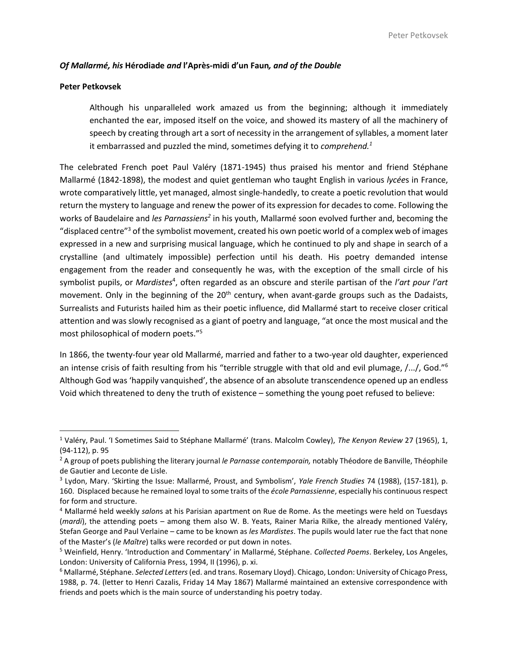# *Of Mallarmé, his* **Hérodiade** *and* **l'Après-midi d'un Faun***, and of the Double*

## **Peter Petkovsek**

l

Although his unparalleled work amazed us from the beginning; although it immediately enchanted the ear, imposed itself on the voice, and showed its mastery of all the machinery of speech by creating through art a sort of necessity in the arrangement of syllables, a moment later it embarrassed and puzzled the mind, sometimes defying it to *comprehend.<sup>1</sup>*

The celebrated French poet Paul Valéry (1871-1945) thus praised his mentor and friend Stéphane Mallarmé (1842-1898), the modest and quiet gentleman who taught English in various *lycée*s in France, wrote comparatively little, yet managed, almost single-handedly, to create a poetic revolution that would return the mystery to language and renew the power of its expression for decades to come. Following the works of Baudelaire and *les Parnassiens<sup>2</sup>* in his youth, Mallarmé soon evolved further and, becoming the "displaced centre"<sup>3</sup> of the symbolist movement, created his own poetic world of a complex web of images expressed in a new and surprising musical language, which he continued to ply and shape in search of a crystalline (and ultimately impossible) perfection until his death. His poetry demanded intense engagement from the reader and consequently he was, with the exception of the small circle of his symbolist pupils, or *Mardistes<sup>4</sup>*, often regarded as an obscure and sterile partisan of the *l'art pour l'art* movement. Only in the beginning of the  $20<sup>th</sup>$  century, when avant-garde groups such as the Dadaists, Surrealists and Futurists hailed him as their poetic influence, did Mallarmé start to receive closer critical attention and was slowly recognised as a giant of poetry and language, "at once the most musical and the most philosophical of modern poets."<sup>5</sup>

In 1866, the twenty-four year old Mallarmé, married and father to a two-year old daughter, experienced an intense crisis of faith resulting from his "terrible struggle with that old and evil plumage, /.../, God."<sup>6</sup> Although God was 'happily vanquished', the absence of an absolute transcendence opened up an endless Void which threatened to deny the truth of existence – something the young poet refused to believe:

<sup>1</sup> Valéry, Paul. 'I Sometimes Said to Stéphane Mallarmé' (trans. Malcolm Cowley), *The Kenyon Review* 27 (1965), 1, (94-112), p. 95

<sup>2</sup> A group of poets publishing the literary journal *le Parnasse contemporain,* notably Théodore de Banville, Théophile de Gautier and Leconte de Lisle.

<sup>3</sup> Lydon, Mary. 'Skirting the Issue: Mallarmé, Proust, and Symbolism', *Yale French Studies* 74 (1988), (157-181), p. 160. Displaced because he remained loyal to some traits of the *école Parnassienne*, especially his continuous respect for form and structure.

<sup>4</sup> Mallarmé held weekly *salon*s at his Parisian apartment on Rue de Rome. As the meetings were held on Tuesdays (*mardi*), the attending poets – among them also W. B. Yeats, Rainer Maria Rilke, the already mentioned Valéry, Stefan George and Paul Verlaine – came to be known as *les Mardistes*. The pupils would later rue the fact that none of the Master's (*le Maître*) talks were recorded or put down in notes.

<sup>5</sup> Weinfield, Henry. 'Introduction and Commentary' in Mallarmé, Stéphane. *Collected Poems*. Berkeley, Los Angeles, London: University of California Press, 1994, II (1996), p. xi.

<sup>6</sup> Mallarmé, Stéphane. *Selected Letters*(ed. and trans. Rosemary Lloyd). Chicago, London: University of Chicago Press, 1988, p. 74. (letter to Henri Cazalis, Friday 14 May 1867) Mallarmé maintained an extensive correspondence with friends and poets which is the main source of understanding his poetry today.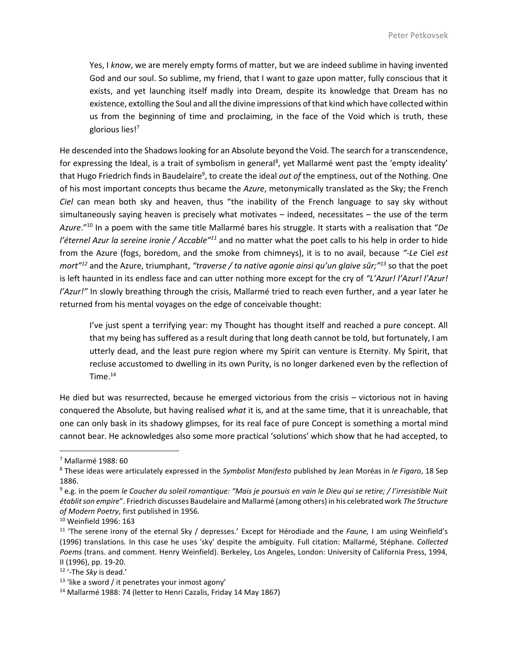Yes, I *know*, we are merely empty forms of matter, but we are indeed sublime in having invented God and our soul. So sublime, my friend, that I want to gaze upon matter, fully conscious that it exists, and yet launching itself madly into Dream, despite its knowledge that Dream has no existence, extolling the Soul and all the divine impressions of that kind which have collected within us from the beginning of time and proclaiming, in the face of the Void which is truth, these glorious lies!<sup>7</sup>

He descended into the Shadows looking for an Absolute beyond the Void. The search for a transcendence, for expressing the Ideal, is a trait of symbolism in general<sup>8</sup>, yet Mallarmé went past the 'empty ideality' that Hugo Friedrich finds in Baudelaire<sup>9</sup>, to create the ideal *out of* the emptiness, out of the Nothing. One of his most important concepts thus became the *Azure*, metonymically translated as the Sky; the French *Ciel* can mean both sky and heaven, thus "the inability of the French language to say sky without simultaneously saying heaven is precisely what motivates – indeed, necessitates – the use of the term *Azure*."<sup>10</sup> In a poem with the same title Mallarmé bares his struggle. It starts with a realisation that "*De l'éternel Azur la sereine ironie / Accable"<sup>11</sup>* and no matter what the poet calls to his help in order to hide from the Azure (fogs, boredom, and the smoke from chimneys), it is to no avail, because *"-Le* Ciel *est mort"<sup>12</sup>* and the Azure, triumphant, *"traverse / ta native agonie ainsi qu'un glaive sûr;"<sup>13</sup>* so that the poet is left haunted in its endless face and can utter nothing more except for the cry of *"L'Azur! l'Azur! l'Azur! l'Azur!"* In slowly breathing through the crisis, Mallarmé tried to reach even further, and a year later he returned from his mental voyages on the edge of conceivable thought:

I've just spent a terrifying year: my Thought has thought itself and reached a pure concept. All that my being has suffered as a result during that long death cannot be told, but fortunately, I am utterly dead, and the least pure region where my Spirit can venture is Eternity. My Spirit, that recluse accustomed to dwelling in its own Purity, is no longer darkened even by the reflection of Time.<sup>14</sup>

He died but was resurrected, because he emerged victorious from the crisis – victorious not in having conquered the Absolute, but having realised *what* it is, and at the same time, that it is unreachable, that one can only bask in its shadowy glimpses, for its real face of pure Concept is something a mortal mind cannot bear. He acknowledges also some more practical 'solutions' which show that he had accepted, to

<sup>7</sup> Mallarmé 1988: 60

<sup>8</sup> These ideas were articulately expressed in the *Symbolist Manifesto* published by Jean Moréas in *le Figaro*, 18 Sep 1886.

<sup>9</sup> e.g. in the poem *le Coucher du soleil romantique: "Mais je poursuis en vain le Dieu qui se retire; / l'irresistible Nuit établit son empire*". Friedrich discusses Baudelaire and Mallarmé (among others) in his celebrated work *The Structure of Modern Poetry*, first published in 1956*.*

<sup>10</sup> Weinfield 1996: 163

<sup>11</sup> 'The serene irony of the eternal Sky / depresses.' Except for Hérodiade and the *Faune,* I am using Weinfield's (1996) translations. In this case he uses 'sky' despite the ambiguity. Full citation: Mallarmé, Stéphane. *Collected Poems* (trans. and comment. Henry Weinfield). Berkeley, Los Angeles, London: University of California Press, 1994, II (1996), pp. 19-20.

<sup>12</sup> '-The *Sky* is dead.'

 $13$  'like a sword / it penetrates your inmost agony'

<sup>&</sup>lt;sup>14</sup> Mallarmé 1988: 74 (letter to Henri Cazalis, Friday 14 May 1867)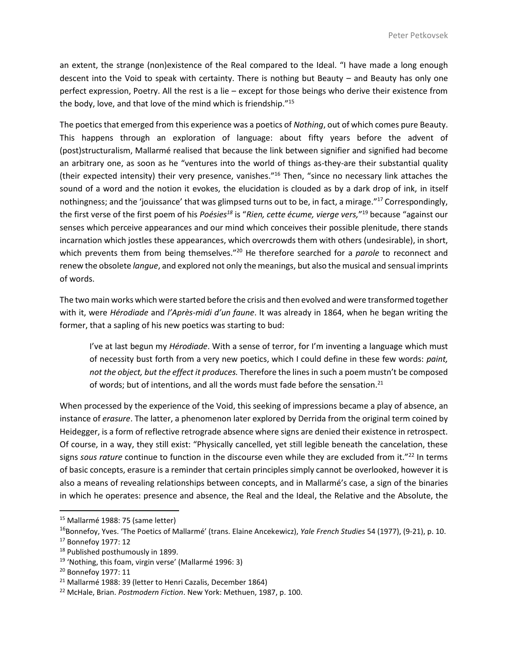an extent, the strange (non)existence of the Real compared to the Ideal. "I have made a long enough descent into the Void to speak with certainty. There is nothing but Beauty – and Beauty has only one perfect expression, Poetry. All the rest is a lie – except for those beings who derive their existence from the body, love, and that love of the mind which is friendship."<sup>15</sup>

The poetics that emerged from this experience was a poetics of *Nothing*, out of which comes pure Beauty. This happens through an exploration of language: about fifty years before the advent of (post)structuralism, Mallarmé realised that because the link between signifier and signified had become an arbitrary one, as soon as he "ventures into the world of things as-they-are their substantial quality (their expected intensity) their very presence, vanishes." <sup>16</sup> Then, "since no necessary link attaches the sound of a word and the notion it evokes, the elucidation is clouded as by a dark drop of ink, in itself nothingness; and the 'jouissance' that was glimpsed turns out to be, in fact, a mirage."<sup>17</sup> Correspondingly, the first verse of the first poem of his *Poésies<sup>18</sup>* is "*Rien, cette écume, vierge vers,*" <sup>19</sup> because "against our senses which perceive appearances and our mind which conceives their possible plenitude, there stands incarnation which jostles these appearances, which overcrowds them with others (undesirable), in short, which prevents them from being themselves."<sup>20</sup> He therefore searched for a *parole* to reconnect and renew the obsolete *langue*, and explored not only the meanings, but also the musical and sensual imprints of words.

The two main works which were started before the crisis and then evolved and were transformed together with it, were *Hérodiade* and *l'Après-midi d'un faune*. It was already in 1864, when he began writing the former, that a sapling of his new poetics was starting to bud:

I've at last begun my *Hérodiade*. With a sense of terror, for I'm inventing a language which must of necessity bust forth from a very new poetics, which I could define in these few words: *paint, not the object, but the effect it produces.* Therefore the lines in such a poem mustn't be composed of words; but of intentions, and all the words must fade before the sensation.<sup>21</sup>

When processed by the experience of the Void, this seeking of impressions became a play of absence, an instance of *erasure*. The latter, a phenomenon later explored by Derrida from the original term coined by Heidegger, is a form of reflective retrograde absence where signs are denied their existence in retrospect. Of course, in a way, they still exist: "Physically cancelled, yet still legible beneath the cancelation, these signs *sous rature* continue to function in the discourse even while they are excluded from it."<sup>22</sup> In terms of basic concepts, erasure is a reminder that certain principles simply cannot be overlooked, however it is also a means of revealing relationships between concepts, and in Mallarmé's case, a sign of the binaries in which he operates: presence and absence, the Real and the Ideal, the Relative and the Absolute, the

<sup>15</sup> Mallarmé 1988: 75 (same letter)

<sup>16</sup>Bonnefoy, Yves. 'The Poetics of Mallarmé' (trans. Elaine Ancekewicz), *Yale French Studies* 54 (1977), (9-21), p. 10.

<sup>17</sup> Bonnefoy 1977: 12

<sup>&</sup>lt;sup>18</sup> Published posthumously in 1899.

<sup>&</sup>lt;sup>19</sup> 'Nothing, this foam, virgin verse' (Mallarmé 1996: 3)

<sup>20</sup> Bonnefoy 1977: 11

<sup>&</sup>lt;sup>21</sup> Mallarmé 1988: 39 (letter to Henri Cazalis, December 1864)

<sup>22</sup> McHale, Brian. *Postmodern Fiction*. New York: Methuen, 1987, p. 100.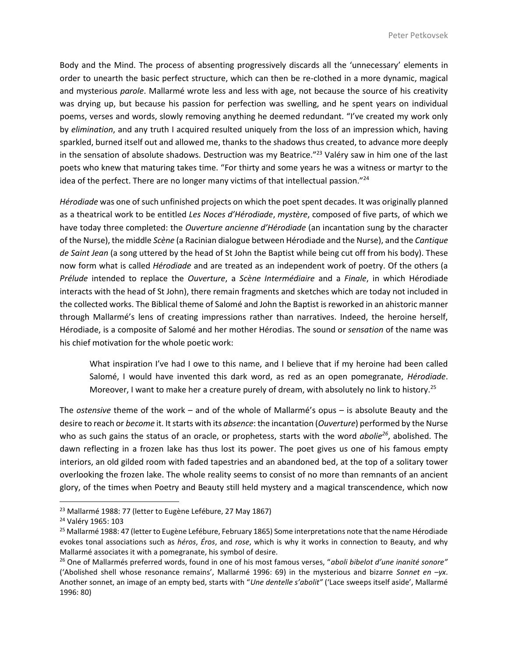Body and the Mind. The process of absenting progressively discards all the 'unnecessary' elements in order to unearth the basic perfect structure, which can then be re-clothed in a more dynamic, magical and mysterious *parole*. Mallarmé wrote less and less with age, not because the source of his creativity was drying up, but because his passion for perfection was swelling, and he spent years on individual poems, verses and words, slowly removing anything he deemed redundant. "I've created my work only by *elimination*, and any truth I acquired resulted uniquely from the loss of an impression which, having sparkled, burned itself out and allowed me, thanks to the shadows thus created, to advance more deeply in the sensation of absolute shadows. Destruction was my Beatrice."<sup>23</sup> Valéry saw in him one of the last poets who knew that maturing takes time. "For thirty and some years he was a witness or martyr to the idea of the perfect. There are no longer many victims of that intellectual passion."<sup>24</sup>

*Hérodiade* was one of such unfinished projects on which the poet spent decades. It was originally planned as a theatrical work to be entitled *Les Noces d'Hérodiade*, *mystère*, composed of five parts, of which we have today three completed: the *Ouverture ancienne d'Hérodiade* (an incantation sung by the character of the Nurse), the middle *Scène* (a Racinian dialogue between Hérodiade and the Nurse), and the *Cantique de Saint Jean* (a song uttered by the head of St John the Baptist while being cut off from his body). These now form what is called *Hérodiade* and are treated as an independent work of poetry. Of the others (a *Prélude* intended to replace the *Ouverture*, a *Scène Intermédiaire* and a *Finale*, in which Hérodiade interacts with the head of St John), there remain fragments and sketches which are today not included in the collected works. The Biblical theme of Salomé and John the Baptist is reworked in an ahistoric manner through Mallarmé's lens of creating impressions rather than narratives. Indeed, the heroine herself, Hérodiade, is a composite of Salomé and her mother Hérodias. The sound or *sensation* of the name was his chief motivation for the whole poetic work:

What inspiration I've had I owe to this name, and I believe that if my heroine had been called Salomé, I would have invented this dark word, as red as an open pomegranate, *Hérodiade*. Moreover, I want to make her a creature purely of dream, with absolutely no link to history.<sup>25</sup>

The *ostensive* theme of the work – and of the whole of Mallarmé's opus – is absolute Beauty and the desire to reach or *become* it. It starts with its *absence*: the incantation (*Ouverture*) performed by the Nurse who as such gains the status of an oracle, or prophetess, starts with the word *abolie<sup>26</sup>*, abolished. The dawn reflecting in a frozen lake has thus lost its power. The poet gives us one of his famous empty interiors, an old gilded room with faded tapestries and an abandoned bed, at the top of a solitary tower overlooking the frozen lake. The whole reality seems to consist of no more than remnants of an ancient glory, of the times when Poetry and Beauty still held mystery and a magical transcendence, which now

<sup>&</sup>lt;sup>23</sup> Mallarmé 1988: 77 (letter to Eugène Lefébure, 27 May 1867)

<sup>24</sup> Valéry 1965: 103

<sup>&</sup>lt;sup>25</sup> Mallarmé 1988: 47 (letter to Eugène Lefébure, February 1865) Some interpretations note that the name Hérodiade evokes tonal associations such as *héros*, *Éros*, and *rose*, which is why it works in connection to Beauty, and why Mallarmé associates it with a pomegranate, his symbol of desire.

<sup>26</sup> One of Mallarmés preferred words, found in one of his most famous verses, "*aboli bibelot d'une inanité sonore"* ('Abolished shell whose resonance remains', Mallarmé 1996: 69) in the mysterious and bizarre *Sonnet en –yx*. Another sonnet, an image of an empty bed, starts with "*Une dentelle s'abolit"* ('Lace sweeps itself aside', Mallarmé 1996: 80)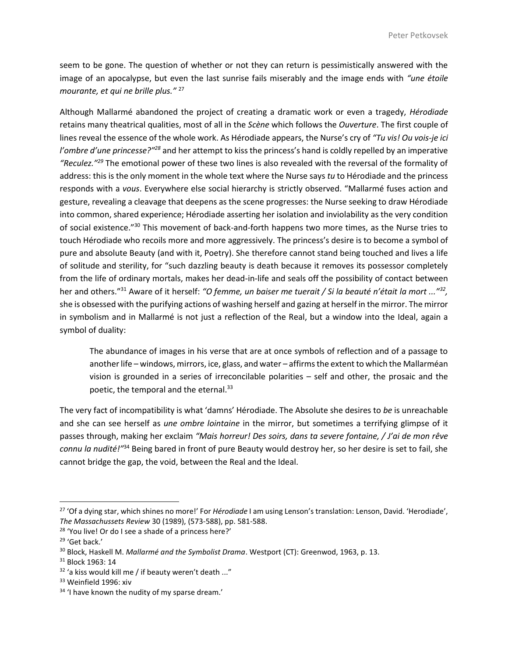seem to be gone. The question of whether or not they can return is pessimistically answered with the image of an apocalypse, but even the last sunrise fails miserably and the image ends with *"une étoile mourante, et qui ne brille plus."* <sup>27</sup>

Although Mallarmé abandoned the project of creating a dramatic work or even a tragedy, *Hérodiade* retains many theatrical qualities, most of all in the *Scène* which follows the *Ouverture*. The first couple of lines reveal the essence of the whole work. As Hérodiade appears, the Nurse's cry of *"Tu vis! Ou vois-je ici l'ombre d'une princesse?"<sup>28</sup>* and her attempt to kiss the princess's hand is coldly repelled by an imperative *"Reculez."<sup>29</sup>* The emotional power of these two lines is also revealed with the reversal of the formality of address: this is the only moment in the whole text where the Nurse says *tu* to Hérodiade and the princess responds with a *vous*. Everywhere else social hierarchy is strictly observed. "Mallarmé fuses action and gesture, revealing a cleavage that deepens as the scene progresses: the Nurse seeking to draw Hérodiade into common, shared experience; Hérodiade asserting her isolation and inviolability as the very condition of social existence."<sup>30</sup> This movement of back-and-forth happens two more times, as the Nurse tries to touch Hérodiade who recoils more and more aggressively. The princess's desire is to become a symbol of pure and absolute Beauty (and with it, Poetry). She therefore cannot stand being touched and lives a life of solitude and sterility, for "such dazzling beauty is death because it removes its possessor completely from the life of ordinary mortals, makes her dead-in-life and seals off the possibility of contact between her and others."<sup>31</sup> Aware of it herself: *"O femme, un baiser me tuerait / Si la beauté n'était la mort ..."<sup>32</sup> ,* she is obsessed with the purifying actions of washing herself and gazing at herself in the mirror. The mirror in symbolism and in Mallarmé is not just a reflection of the Real, but a window into the Ideal, again a symbol of duality:

The abundance of images in his verse that are at once symbols of reflection and of a passage to another life – windows, mirrors, ice, glass, and water – affirms the extent to which the Mallarméan vision is grounded in a series of irreconcilable polarities – self and other, the prosaic and the poetic, the temporal and the eternal.<sup>33</sup>

The very fact of incompatibility is what 'damns' Hérodiade. The Absolute she desires to *be* is unreachable and she can see herself as *une ombre lointaine* in the mirror, but sometimes a terrifying glimpse of it passes through, making her exclaim *"Mais horreur! Des soirs, dans ta severe fontaine, / J'ai de mon rêve connu la nudité!"*<sup>34</sup> Being bared in front of pure Beauty would destroy her, so her desire is set to fail, she cannot bridge the gap, the void, between the Real and the Ideal.

<sup>27</sup> 'Of a dying star, which shines no more!' For *Hérodiade* I am using Lenson's translation: Lenson, David. 'Herodiade', *The Massachussets Review* 30 (1989), (573-588), pp. 581-588.

<sup>&</sup>lt;sup>28</sup> 'You live! Or do I see a shade of a princess here?'

<sup>29</sup> 'Get back.'

<sup>30</sup> Block, Haskell M. *Mallarmé and the Symbolist Drama*. Westport (CT): Greenwod, 1963, p. 13.

<sup>31</sup> Block 1963: 14

 $32$  'a kiss would kill me / if beauty weren't death ..."

<sup>&</sup>lt;sup>33</sup> Weinfield 1996: xiv

<sup>&</sup>lt;sup>34</sup> 'I have known the nudity of my sparse dream.'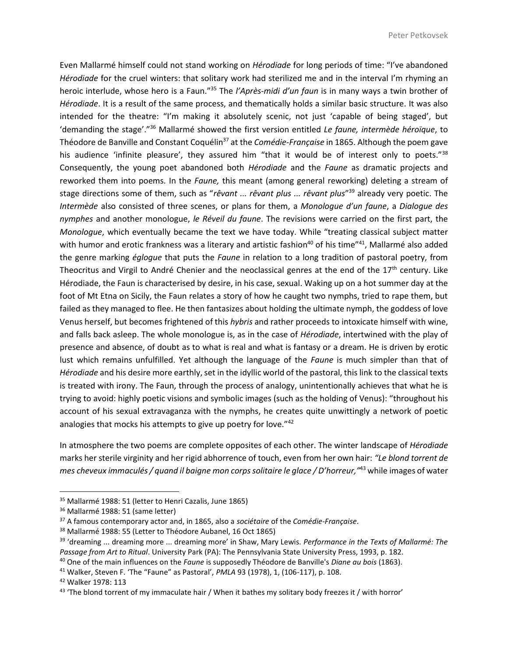Even Mallarmé himself could not stand working on *Hérodiade* for long periods of time: "I've abandoned *Hérodiade* for the cruel winters: that solitary work had sterilized me and in the interval I'm rhyming an heroic interlude, whose hero is a Faun."<sup>35</sup> The *l'Après-midi d'un faun* is in many ways a twin brother of *Hérodiade*. It is a result of the same process, and thematically holds a similar basic structure. It was also intended for the theatre: "I'm making it absolutely scenic, not just 'capable of being staged', but 'demanding the stage'."<sup>36</sup> Mallarmé showed the first version entitled *Le faune, intermède héroïque*, to Théodore de Banville and Constant Coquélin<sup>37</sup> at the *Comédie-Française* in 1865. Although the poem gave his audience 'infinite pleasure', they assured him "that it would be of interest only to poets."<sup>38</sup> Consequently, the young poet abandoned both *Hérodiade* and the *Faune* as dramatic projects and reworked them into poems. In the *Faune,* this meant (among general reworking) deleting a stream of stage directions some of them, such as "*rêvant ... rêvant plus ... rêvant plus*" <sup>39</sup> already very poetic. The *Intermède* also consisted of three scenes, or plans for them, a *Monologue d'un faune*, a *Dialogue des nymphes* and another monologue, *le Réveil du faune*. The revisions were carried on the first part, the *Monologue*, which eventually became the text we have today. While "treating classical subject matter with humor and erotic frankness was a literary and artistic fashion<sup>40</sup> of his time"<sup>41</sup>, Mallarmé also added the genre marking *églogue* that puts the *Faune* in relation to a long tradition of pastoral poetry, from Theocritus and Virgil to André Chenier and the neoclassical genres at the end of the  $17<sup>th</sup>$  century. Like Hérodiade, the Faun is characterised by desire, in his case, sexual. Waking up on a hot summer day at the foot of Mt Etna on Sicily, the Faun relates a story of how he caught two nymphs, tried to rape them, but failed as they managed to flee. He then fantasizes about holding the ultimate nymph, the goddess of love Venus herself, but becomes frightened of this *hybris* and rather proceeds to intoxicate himself with wine, and falls back asleep. The whole monologue is, as in the case of *Hérodiade*, intertwined with the play of presence and absence, of doubt as to what is real and what is fantasy or a dream. He is driven by erotic lust which remains unfulfilled. Yet although the language of the *Faune* is much simpler than that of *Hérodiade* and his desire more earthly, set in the idyllic world of the pastoral, this link to the classical texts is treated with irony. The Faun, through the process of analogy, unintentionally achieves that what he is trying to avoid: highly poetic visions and symbolic images (such as the holding of Venus): "throughout his account of his sexual extravaganza with the nymphs, he creates quite unwittingly a network of poetic analogies that mocks his attempts to give up poetry for love."<sup>42</sup>

In atmosphere the two poems are complete opposites of each other. The winter landscape of *Hérodiade* marks her sterile virginity and her rigid abhorrence of touch, even from her own hair: *"Le blond torrent de mes cheveux immaculés / quand il baigne mon corps solitaire le glace / D'horreur,"* <sup>43</sup> while images of water

<sup>35</sup> Mallarmé 1988: 51 (letter to Henri Cazalis, June 1865)

<sup>&</sup>lt;sup>36</sup> Mallarmé 1988: 51 (same letter)

<sup>37</sup> A famous contemporary actor and, in 1865, also a *sociétaire* of the *Comédie-Française*.

<sup>38</sup> Mallarmé 1988: 55 (Letter to Théodore Aubanel, 16 Oct 1865)

<sup>39</sup> 'dreaming ... dreaming more ... dreaming more' in Shaw, Mary Lewis. *Performance in the Texts of Mallarmé: The Passage from Art to Ritual*. University Park (PA): The Pennsylvania State University Press, 1993, p. 182.

<sup>40</sup> One of the main influences on the *Faune* is supposedly Théodore de Banville's *Diane au bois* (1863).

<sup>41</sup> Walker, Steven F. 'The "Faune" as Pastoral', *PMLA* 93 (1978), 1, (106-117), p. 108.

<sup>42</sup> Walker 1978: 113

 $43$  'The blond torrent of my immaculate hair / When it bathes my solitary body freezes it / with horror'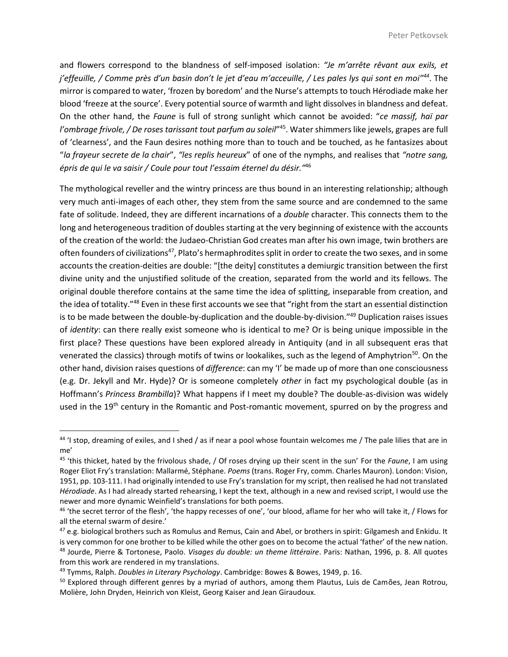and flowers correspond to the blandness of self-imposed isolation: *"Je m'arrête rêvant aux exils, et j'effeuille, / Comme près d'un basin don't le jet d'eau m'acceuille, / Les pales lys qui sont en moi"<sup>44</sup>* . The mirror is compared to water, 'frozen by boredom' and the Nurse's attempts to touch Hérodiade make her blood 'freeze at the source'. Every potential source of warmth and light dissolves in blandness and defeat. On the other hand, the *Faune* is full of strong sunlight which cannot be avoided: "*ce massif, haï par*  l'ombrage frivole, / De roses tarissant tout parfum au soleil<sup>mas</sup>. Water shimmers like jewels, grapes are full of 'clearness', and the Faun desires nothing more than to touch and be touched, as he fantasizes about "*la frayeur secrete de la chair*", *"les replis heureux*" of one of the nymphs, and realises that *"notre sang, épris de qui le va saisir / Coule pour tout l'essaim éternel du désir."*<sup>46</sup>

The mythological reveller and the wintry princess are thus bound in an interesting relationship; although very much anti-images of each other, they stem from the same source and are condemned to the same fate of solitude. Indeed, they are different incarnations of a *double* character. This connects them to the long and heterogeneous tradition of doubles starting at the very beginning of existence with the accounts of the creation of the world: the Judaeo-Christian God creates man after his own image, twin brothers are often founders of civilizations<sup>47</sup>, Plato's hermaphrodites split in order to create the two sexes, and in some accounts the creation-deities are double: "[the deity] constitutes a demiurgic transition between the first divine unity and the unjustified solitude of the creation, separated from the world and its fellows. The original double therefore contains at the same time the idea of splitting, inseparable from creation, and the idea of totality."<sup>48</sup> Even in these first accounts we see that "right from the start an essential distinction is to be made between the double-by-duplication and the double-by-division."<sup>49</sup> Duplication raises issues of *identity*: can there really exist someone who is identical to me? Or is being unique impossible in the first place? These questions have been explored already in Antiquity (and in all subsequent eras that venerated the classics) through motifs of twins or lookalikes, such as the legend of Amphytrion<sup>50</sup>. On the other hand, division raises questions of *difference*: can my 'I' be made up of more than one consciousness (e.g. Dr. Jekyll and Mr. Hyde)? Or is someone completely *other* in fact my psychological double (as in Hoffmann's *Princess Brambilla*)? What happens if I meet my double? The double-as-division was widely used in the 19<sup>th</sup> century in the Romantic and Post-romantic movement, spurred on by the progress and

l

 $44$  'I stop, dreaming of exiles, and I shed / as if near a pool whose fountain welcomes me / The pale lilies that are in me'

<sup>45</sup> 'this thicket, hated by the frivolous shade, / Of roses drying up their scent in the sun' For the *Faune*, I am using Roger Eliot Fry's translation: Mallarmé, Stéphane. *Poems* (trans. Roger Fry, comm. Charles Mauron). London: Vision, 1951, pp. 103-111. I had originally intended to use Fry's translation for my script, then realised he had not translated *Hérodiade*. As I had already started rehearsing, I kept the text, although in a new and revised script, I would use the newer and more dynamic Weinfield's translations for both poems.

<sup>46</sup> 'the secret terror of the flesh', 'the happy recesses of one', 'our blood, aflame for her who will take it, / Flows for all the eternal swarm of desire.'

 $47$  e.g. biological brothers such as Romulus and Remus, Cain and Abel, or brothers in spirit: Gilgamesh and Enkidu. It is very common for one brother to be killed while the other goes on to become the actual 'father' of the new nation. <sup>48</sup> Jourde, Pierre & Tortonese, Paolo. *Visages du double: un theme littéraire*. Paris: Nathan, 1996, p. 8. All quotes from this work are rendered in my translations.

<sup>49</sup> Tymms, Ralph. *Doubles in Literary Psychology*. Cambridge: Bowes & Bowes, 1949, p. 16.

<sup>&</sup>lt;sup>50</sup> Explored through different genres by a myriad of authors, among them Plautus, Luis de Camões, Jean Rotrou, Molière, John Dryden, Heinrich von Kleist, Georg Kaiser and Jean Giraudoux.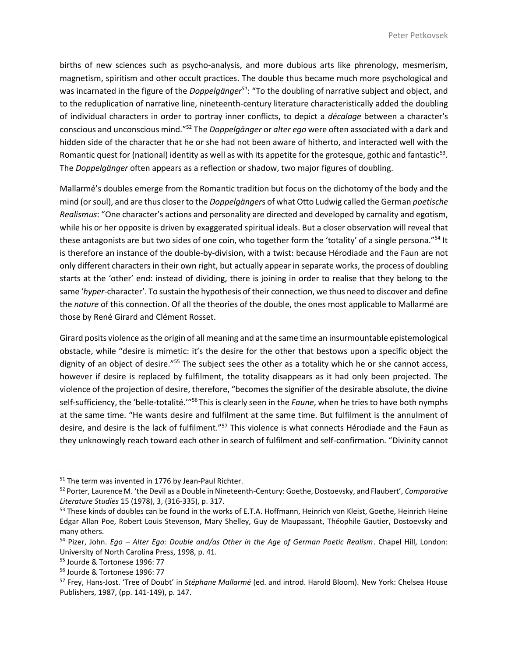births of new sciences such as psycho-analysis, and more dubious arts like phrenology, mesmerism, magnetism, spiritism and other occult practices. The double thus became much more psychological and was incarnated in the figure of the *Doppelgänger<sup>51</sup>*: "To the doubling of narrative subject and object, and to the reduplication of narrative line, nineteenth-century literature characteristically added the doubling of individual characters in order to portray inner conflicts, to depict a *décalage* between a character's conscious and unconscious mind."<sup>52</sup> The *Doppelgänger* or *alter ego* were often associated with a dark and hidden side of the character that he or she had not been aware of hitherto, and interacted well with the Romantic quest for (national) identity as well as with its appetite for the grotesque, gothic and fantastic $^{53}$ . The *Doppelgänger* often appears as a reflection or shadow, two major figures of doubling.

Mallarmé's doubles emerge from the Romantic tradition but focus on the dichotomy of the body and the mind (or soul), and are thus closer to the *Doppelgänger*s of what Otto Ludwig called the German *poetische Realismus*: "One character's actions and personality are directed and developed by carnality and egotism, while his or her opposite is driven by exaggerated spiritual ideals. But a closer observation will reveal that these antagonists are but two sides of one coin, who together form the 'totality' of a single persona."<sup>54</sup> It is therefore an instance of the double-by-division, with a twist: because Hérodiade and the Faun are not only different characters in their own right, but actually appear in separate works, the process of doubling starts at the 'other' end: instead of dividing, there is joining in order to realise that they belong to the same '*hyper-*character'. To sustain the hypothesis of their connection, we thus need to discover and define the *nature* of this connection. Of all the theories of the double, the ones most applicable to Mallarmé are those by René Girard and Clément Rosset.

Girard posits violence as the origin of all meaning and at the same time an insurmountable epistemological obstacle, while "desire is mimetic: it's the desire for the other that bestows upon a specific object the dignity of an object of desire."<sup>55</sup> The subject sees the other as a totality which he or she cannot access, however if desire is replaced by fulfilment, the totality disappears as it had only been projected. The violence of the projection of desire, therefore, "becomes the signifier of the desirable absolute, the divine self-sufficiency, the 'belle-totalité.'"<sup>56</sup>This is clearly seen in the *Faune*, when he tries to have both nymphs at the same time. "He wants desire and fulfilment at the same time. But fulfilment is the annulment of desire, and desire is the lack of fulfilment."<sup>57</sup> This violence is what connects Hérodiade and the Faun as they unknowingly reach toward each other in search of fulfilment and self-confirmation. "Divinity cannot

<sup>&</sup>lt;sup>51</sup> The term was invented in 1776 by Jean-Paul Richter.

<sup>52</sup> Porter, Laurence M. 'the Devil as a Double in Nineteenth-Century: Goethe, Dostoevsky, and Flaubert', *Comparative Literature Studies* 15 (1978), 3, (316-335), p. 317.

<sup>53</sup> These kinds of doubles can be found in the works of E.T.A. Hoffmann, Heinrich von Kleist, Goethe, Heinrich Heine Edgar Allan Poe, Robert Louis Stevenson, Mary Shelley, Guy de Maupassant, Théophile Gautier, Dostoevsky and many others.

<sup>54</sup> Pizer, John. *Ego – Alter Ego: Double and/as Other in the Age of German Poetic Realism*. Chapel Hill, London: University of North Carolina Press, 1998, p. 41.

<sup>55</sup> Jourde & Tortonese 1996: 77

<sup>56</sup> Jourde & Tortonese 1996: 77

<sup>57</sup> Frey, Hans-Jost. 'Tree of Doubt' in *Stéphane Mallarmé* (ed. and introd. Harold Bloom). New York: Chelsea House Publishers, 1987, (pp. 141-149), p. 147.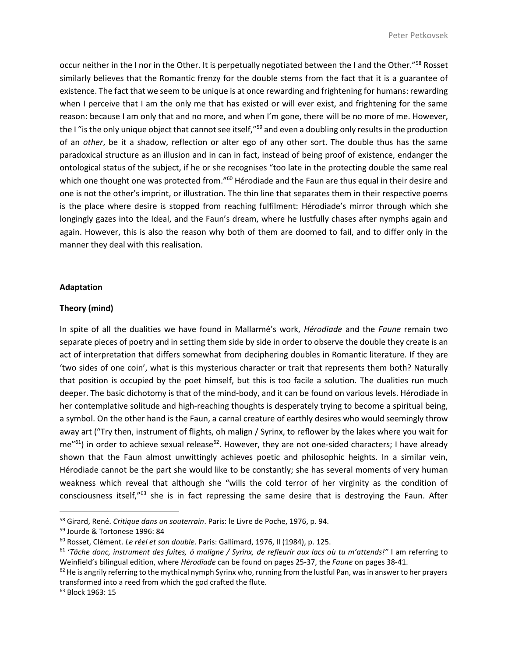occur neither in the I nor in the Other. It is perpetually negotiated between the I and the Other."<sup>58</sup> Rosset similarly believes that the Romantic frenzy for the double stems from the fact that it is a guarantee of existence. The fact that we seem to be unique is at once rewarding and frightening for humans: rewarding when I perceive that I am the only me that has existed or will ever exist, and frightening for the same reason: because I am only that and no more, and when I'm gone, there will be no more of me. However, the I "is the only unique object that cannot see itself,"<sup>59</sup> and even a doubling only results in the production of an *other*, be it a shadow, reflection or alter ego of any other sort. The double thus has the same paradoxical structure as an illusion and in can in fact, instead of being proof of existence, endanger the ontological status of the subject, if he or she recognises "too late in the protecting double the same real which one thought one was protected from."<sup>60</sup> Hérodiade and the Faun are thus equal in their desire and one is not the other's imprint, or illustration. The thin line that separates them in their respective poems is the place where desire is stopped from reaching fulfilment: Hérodiade's mirror through which she longingly gazes into the Ideal, and the Faun's dream, where he lustfully chases after nymphs again and again. However, this is also the reason why both of them are doomed to fail, and to differ only in the manner they deal with this realisation.

### **Adaptation**

#### **Theory (mind)**

In spite of all the dualities we have found in Mallarmé's work, *Hérodiade* and the *Faune* remain two separate pieces of poetry and in setting them side by side in order to observe the double they create is an act of interpretation that differs somewhat from deciphering doubles in Romantic literature. If they are 'two sides of one coin', what is this mysterious character or trait that represents them both? Naturally that position is occupied by the poet himself, but this is too facile a solution. The dualities run much deeper. The basic dichotomy is that of the mind-body, and it can be found on various levels. Hérodiade in her contemplative solitude and high-reaching thoughts is desperately trying to become a spiritual being, a symbol. On the other hand is the Faun, a carnal creature of earthly desires who would seemingly throw away art ("Try then, instrument of flights, oh malign / Syrinx, to reflower by the lakes where you wait for  $me^{r61}$ ) in order to achieve sexual release<sup>62</sup>. However, they are not one-sided characters; I have already shown that the Faun almost unwittingly achieves poetic and philosophic heights. In a similar vein, Hérodiade cannot be the part she would like to be constantly; she has several moments of very human weakness which reveal that although she "wills the cold terror of her virginity as the condition of consciousness itself,"<sup>63</sup> she is in fact repressing the same desire that is destroying the Faun. After

<sup>58</sup> Girard, René. *Critique dans un souterrain*. Paris: le Livre de Poche, 1976, p. 94.

<sup>59</sup> Jourde & Tortonese 1996: 84

<sup>60</sup> Rosset, Clément. *Le réel et son double*. Paris: Gallimard, 1976, II (1984), p. 125.

<sup>61</sup> '*Tâche donc, instrument des fuites, ô maligne / Syrinx, de refleurir aux lacs où tu m'attends!"* I am referring to Weinfield's bilingual edition, where *Hérodiade* can be found on pages 25-37, the *Faune* on pages 38-41.

<sup>&</sup>lt;sup>62</sup> He is angrily referring to the mythical nymph Syrinx who, running from the lustful Pan, was in answer to her prayers transformed into a reed from which the god crafted the flute.

<sup>63</sup> Block 1963: 15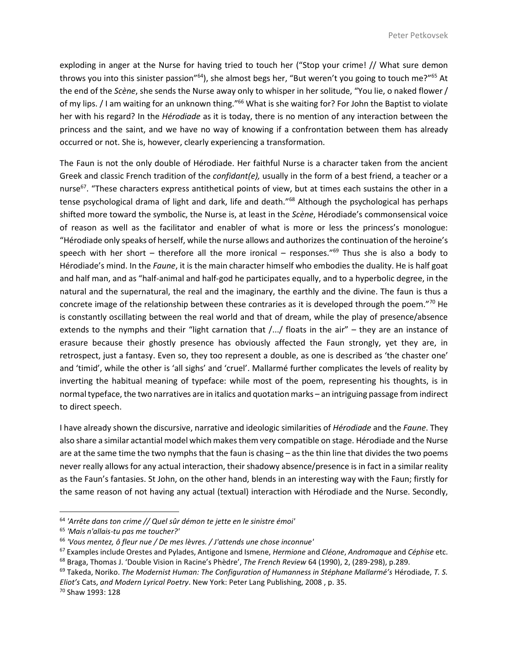exploding in anger at the Nurse for having tried to touch her ("Stop your crime! // What sure demon throws you into this sinister passion"<sup>64</sup>), she almost begs her, "But weren't you going to touch me?"<sup>65</sup> At the end of the *Scène*, she sends the Nurse away only to whisper in her solitude, "You lie, o naked flower / of my lips. / I am waiting for an unknown thing."<sup>66</sup> What is she waiting for? For John the Baptist to violate her with his regard? In the *Hérodiade* as it is today, there is no mention of any interaction between the princess and the saint, and we have no way of knowing if a confrontation between them has already occurred or not. She is, however, clearly experiencing a transformation.

The Faun is not the only double of Hérodiade. Her faithful Nurse is a character taken from the ancient Greek and classic French tradition of the *confidant(e),* usually in the form of a best friend, a teacher or a nurse<sup>67</sup>. "These characters express antithetical points of view, but at times each sustains the other in a tense psychological drama of light and dark, life and death."<sup>68</sup> Although the psychological has perhaps shifted more toward the symbolic, the Nurse is, at least in the *Scène*, Hérodiade's commonsensical voice of reason as well as the facilitator and enabler of what is more or less the princess's monologue: "Hérodiade only speaks of herself, while the nurse allows and authorizes the continuation of the heroine's speech with her short – therefore all the more ironical – responses."<sup>69</sup> Thus she is also a body to Hérodiade's mind. In the *Faune*, it is the main character himself who embodies the duality. He is half goat and half man, and as "half-animal and half-god he participates equally, and to a hyperbolic degree, in the natural and the supernatural, the real and the imaginary, the earthly and the divine. The faun is thus a concrete image of the relationship between these contraries as it is developed through the poem."<sup>70</sup> He is constantly oscillating between the real world and that of dream, while the play of presence/absence extends to the nymphs and their "light carnation that /.../ floats in the air" – they are an instance of erasure because their ghostly presence has obviously affected the Faun strongly, yet they are, in retrospect, just a fantasy. Even so, they too represent a double, as one is described as 'the chaster one' and 'timid', while the other is 'all sighs' and 'cruel'. Mallarmé further complicates the levels of reality by inverting the habitual meaning of typeface: while most of the poem, representing his thoughts, is in normal typeface, the two narratives are in italics and quotation marks – an intriguing passage from indirect to direct speech.

I have already shown the discursive, narrative and ideologic similarities of *Hérodiade* and the *Faune*. They also share a similar actantial model which makes them very compatible on stage. Hérodiade and the Nurse are at the same time the two nymphs that the faun is chasing – as the thin line that divides the two poems never really allows for any actual interaction, their shadowy absence/presence is in fact in a similar reality as the Faun's fantasies. St John, on the other hand, blends in an interesting way with the Faun; firstly for the same reason of not having any actual (textual) interaction with Hérodiade and the Nurse. Secondly,

<sup>64</sup> *'Arrête dans ton crime // Quel sûr démon te jette en le sinistre émoi'*

<sup>65</sup> *'Mais n'allais-tu pas me toucher?'*

<sup>66</sup> *'Vous mentez, ô fleur nue / De mes lèvres. / J'attends une chose inconnue'*

<sup>67</sup> Examples include Orestes and Pylades, Antigone and Ismene, *Hermione* and *Cléone*, *Andromaque* and *Céphise* etc. <sup>68</sup> Braga, Thomas J. 'Double Vision in Racine's Phèdre', *The French Review* 64 (1990), 2, (289-298), p.289.

<sup>69</sup> Takeda, Noriko. *The Modernist Human: The Configuration of Humanness in Stéphane Mallarmé's* Hérodiade, *T. S. Eliot's* Cats, *and Modern Lyrical Poetry*. New York: Peter Lang Publishing, 2008 , p. 35.

<sup>70</sup> Shaw 1993: 128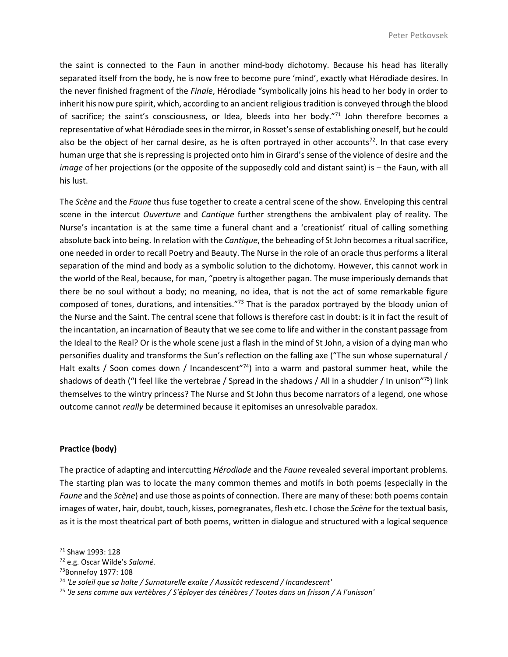the saint is connected to the Faun in another mind-body dichotomy. Because his head has literally separated itself from the body, he is now free to become pure 'mind', exactly what Hérodiade desires. In the never finished fragment of the *Finale*, Hérodiade "symbolically joins his head to her body in order to inherit his now pure spirit, which, according to an ancient religious tradition is conveyed through the blood of sacrifice; the saint's consciousness, or Idea, bleeds into her body."<sup>71</sup> John therefore becomes a representative of what Hérodiade sees in the mirror, in Rosset's sense of establishing oneself, but he could also be the object of her carnal desire, as he is often portrayed in other accounts<sup>72</sup>. In that case every human urge that she is repressing is projected onto him in Girard's sense of the violence of desire and the *image* of her projections (or the opposite of the supposedly cold and distant saint) is – the Faun, with all his lust.

The *Scène* and the *Faune* thus fuse together to create a central scene of the show. Enveloping this central scene in the intercut *Ouverture* and *Cantique* further strengthens the ambivalent play of reality. The Nurse's incantation is at the same time a funeral chant and a 'creationist' ritual of calling something absolute back into being. In relation with the *Cantique*, the beheading of St John becomes a ritual sacrifice, one needed in order to recall Poetry and Beauty. The Nurse in the role of an oracle thus performs a literal separation of the mind and body as a symbolic solution to the dichotomy. However, this cannot work in the world of the Real, because, for man, "poetry is altogether pagan. The muse imperiously demands that there be no soul without a body; no meaning, no idea, that is not the act of some remarkable figure composed of tones, durations, and intensities."<sup>73</sup> That is the paradox portrayed by the bloody union of the Nurse and the Saint. The central scene that follows is therefore cast in doubt: is it in fact the result of the incantation, an incarnation of Beauty that we see come to life and wither in the constant passage from the Ideal to the Real? Or is the whole scene just a flash in the mind of St John, a vision of a dying man who personifies duality and transforms the Sun's reflection on the falling axe ("The sun whose supernatural / Halt exalts / Soon comes down / Incandescent<sup>"74</sup>) into a warm and pastoral summer heat, while the shadows of death ("I feel like the vertebrae / Spread in the shadows / All in a shudder / In unison"<sup>75</sup>) link themselves to the wintry princess? The Nurse and St John thus become narrators of a legend, one whose outcome cannot *really* be determined because it epitomises an unresolvable paradox.

### **Practice (body)**

The practice of adapting and intercutting *Hérodiade* and the *Faune* revealed several important problems. The starting plan was to locate the many common themes and motifs in both poems (especially in the *Faune* and the *Scène*) and use those as points of connection. There are many of these: both poems contain images of water, hair, doubt, touch, kisses, pomegranates, flesh etc. I chose the *Scène* for the textual basis, as it is the most theatrical part of both poems, written in dialogue and structured with a logical sequence

l

<sup>71</sup> Shaw 1993: 128

<sup>72</sup> e.g. Oscar Wilde's *Salomé.*

<sup>73</sup>Bonnefoy 1977: 108

<sup>74</sup> *'Le soleil que sa halte / Surnaturelle exalte / Aussitôt redescend / Incandescent'*

<sup>75</sup> *'Je sens comme aux vertèbres / S'éployer des ténèbres / Toutes dans un frisson / A l'unisson'*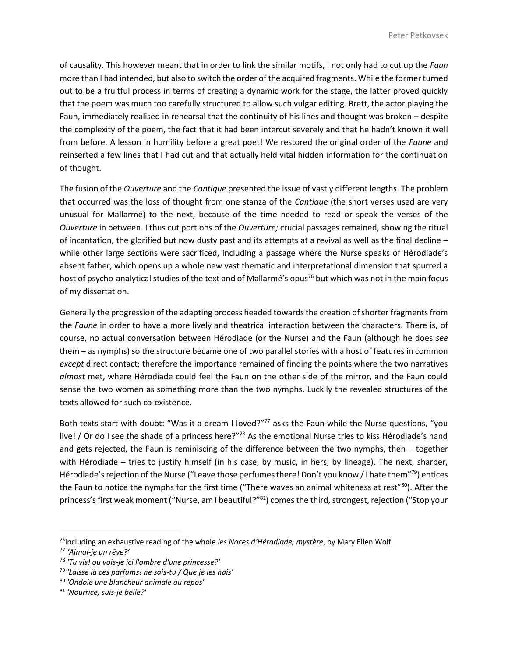of causality. This however meant that in order to link the similar motifs, I not only had to cut up the *Faun* more than I had intended, but also to switch the order of the acquired fragments. While the former turned out to be a fruitful process in terms of creating a dynamic work for the stage, the latter proved quickly that the poem was much too carefully structured to allow such vulgar editing. Brett, the actor playing the Faun, immediately realised in rehearsal that the continuity of his lines and thought was broken – despite the complexity of the poem, the fact that it had been intercut severely and that he hadn't known it well from before. A lesson in humility before a great poet! We restored the original order of the *Faune* and reinserted a few lines that I had cut and that actually held vital hidden information for the continuation of thought.

The fusion of the *Ouverture* and the *Cantique* presented the issue of vastly different lengths. The problem that occurred was the loss of thought from one stanza of the *Cantique* (the short verses used are very unusual for Mallarmé) to the next, because of the time needed to read or speak the verses of the *Ouverture* in between. I thus cut portions of the *Ouverture;* crucial passages remained, showing the ritual of incantation, the glorified but now dusty past and its attempts at a revival as well as the final decline – while other large sections were sacrificed, including a passage where the Nurse speaks of Hérodiade's absent father, which opens up a whole new vast thematic and interpretational dimension that spurred a host of psycho-analytical studies of the text and of Mallarmé's opus<sup>76</sup> but which was not in the main focus of my dissertation.

Generally the progression of the adapting process headed towards the creation of shorter fragments from the *Faune* in order to have a more lively and theatrical interaction between the characters. There is, of course, no actual conversation between Hérodiade (or the Nurse) and the Faun (although he does *see* them – as nymphs) so the structure became one of two parallel stories with a host of features in common *except* direct contact; therefore the importance remained of finding the points where the two narratives *almost* met, where Hérodiade could feel the Faun on the other side of the mirror, and the Faun could sense the two women as something more than the two nymphs. Luckily the revealed structures of the texts allowed for such co-existence.

Both texts start with doubt: "Was it a dream I loved?"<sup>77</sup> asks the Faun while the Nurse questions, "you live! / Or do I see the shade of a princess here?"<sup>78</sup> As the emotional Nurse tries to kiss Hérodiade's hand and gets rejected, the Faun is reminiscing of the difference between the two nymphs, then – together with Hérodiade – tries to justify himself (in his case, by music, in hers, by lineage). The next, sharper, Hérodiade's rejection of the Nurse ("Leave those perfumes there! Don't you know / I hate them"<sup>79</sup>) entices the Faun to notice the nymphs for the first time ("There waves an animal whiteness at rest"<sup>80</sup>). After the princess's first weak moment ("Nurse, am I beautiful?"<sup>81</sup>) comes the third, strongest, rejection ("Stop your

 $\overline{a}$ 

<sup>76</sup>Including an exhaustive reading of the whole *les Noces d'Hérodiade, mystère*, by Mary Ellen Wolf.

<sup>77</sup> *'Aimai-je un rêve?'*

<sup>78</sup> *'Tu vis! ou vois-je ici l'ombre d'une princesse?'*

<sup>79</sup> *'Laisse là ces parfums! ne sais-tu / Que je les hais'*

<sup>80</sup> *'Ondoie une blancheur animale au repos'*

<sup>81</sup> *'Nourrice, suis-je belle?'*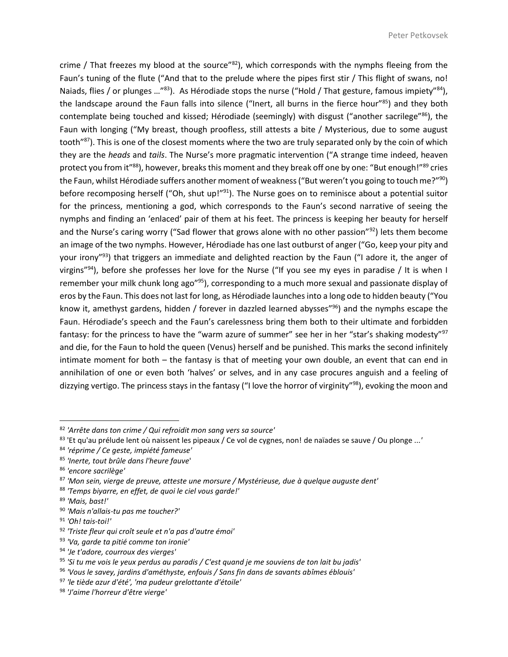crime / That freezes my blood at the source"<sup>82</sup>), which corresponds with the nymphs fleeing from the Faun's tuning of the flute ("And that to the prelude where the pipes first stir / This flight of swans, no! Naiads, flies / or plunges ...<sup>"83</sup>). As Hérodiade stops the nurse ("Hold / That gesture, famous impiety"<sup>84</sup>), the landscape around the Faun falls into silence ("Inert, all burns in the fierce hour"85) and they both contemplate being touched and kissed; Hérodiade (seemingly) with disgust ("another sacrilege"<sup>86</sup>), the Faun with longing ("My breast, though proofless, still attests a bite / Mysterious, due to some august tooth"<sup>87</sup>). This is one of the closest moments where the two are truly separated only by the coin of which they are the *heads* and *tails*. The Nurse's more pragmatic intervention ("A strange time indeed, heaven protect you from it"<sup>88</sup>), however, breaks this moment and they break off one by one: "But enough!"<sup>89</sup> cries the Faun, whilst Hérodiade suffers another moment of weakness ("But weren't you going to touch me?"<sup>90</sup>) before recomposing herself ("Oh, shut up!"<sup>91</sup>). The Nurse goes on to reminisce about a potential suitor for the princess, mentioning a god, which corresponds to the Faun's second narrative of seeing the nymphs and finding an 'enlaced' pair of them at his feet. The princess is keeping her beauty for herself and the Nurse's caring worry ("Sad flower that grows alone with no other passion"<sup>92</sup>) lets them become an image of the two nymphs. However, Hérodiade has one last outburst of anger ("Go, keep your pity and your irony"<sup>93</sup>) that triggers an immediate and delighted reaction by the Faun ("I adore it, the anger of virgins"<sup>94</sup>), before she professes her love for the Nurse ("If you see my eyes in paradise / It is when I remember your milk chunk long ago"<sup>95</sup>), corresponding to a much more sexual and passionate display of eros by the Faun. This does not last for long, as Hérodiade launches into a long ode to hidden beauty ("You know it, amethyst gardens, hidden / forever in dazzled learned abysses"<sup>96</sup>) and the nymphs escape the Faun. Hérodiade's speech and the Faun's carelessness bring them both to their ultimate and forbidden fantasy: for the princess to have the "warm azure of summer" see her in her "star's shaking modesty"<sup>97</sup> and die, for the Faun to hold the queen (Venus) herself and be punished. This marks the second infinitely intimate moment for both – the fantasy is that of meeting your own double, an event that can end in annihilation of one or even both 'halves' or selves, and in any case procures anguish and a feeling of dizzying vertigo. The princess stays in the fantasy ("I love the horror of virginity"<sup>98</sup>), evoking the moon and

<sup>82</sup> *'Arrête dans ton crime / Qui refroidit mon sang vers sa source'*

<sup>83</sup> 'Et qu'au prélude lent où naissent les pipeaux / Ce vol de cygnes, non! de naïades se sauve / Ou plonge ...*'*

<sup>84</sup> *'réprime / Ce geste, impiété fameuse'*

<sup>85</sup> *'Inerte, tout brûle dans l'heure fauve*'

<sup>86</sup> *'encore sacrilège'*

<sup>87</sup> *'Mon sein, vierge de preuve, atteste une morsure / Mystérieuse, due à quelque auguste dent'*

<sup>88</sup> *'Temps biyarre, en effet, de quoi le ciel vous garde!'*

<sup>89</sup> *'Mais, bast!'*

<sup>90</sup> *'Mais n'allais-tu pas me toucher?'*

<sup>91</sup> *'Oh! tais-toi!'*

<sup>92</sup> *'Triste fleur qui croît seule et n'a pas d'autre émoi'*

<sup>93</sup> *'Va, garde ta pitié comme ton ironie'*

<sup>94</sup> *'Je t'adore, courroux des vierges'*

<sup>95</sup> *'Si tu me vois le yeux perdus au paradis / C'est quand je me souviens de ton lait bu jadis'*

<sup>96</sup> *'Vous le savey, jardins d'améthyste, enfouis / Sans fin dans de savants abîmes éblouis'*

<sup>97</sup> *'le tiède azur d'été', 'ma pudeur grelottante d'étoile'*

<sup>98</sup> *'J'aime l'horreur d'être vierge'*